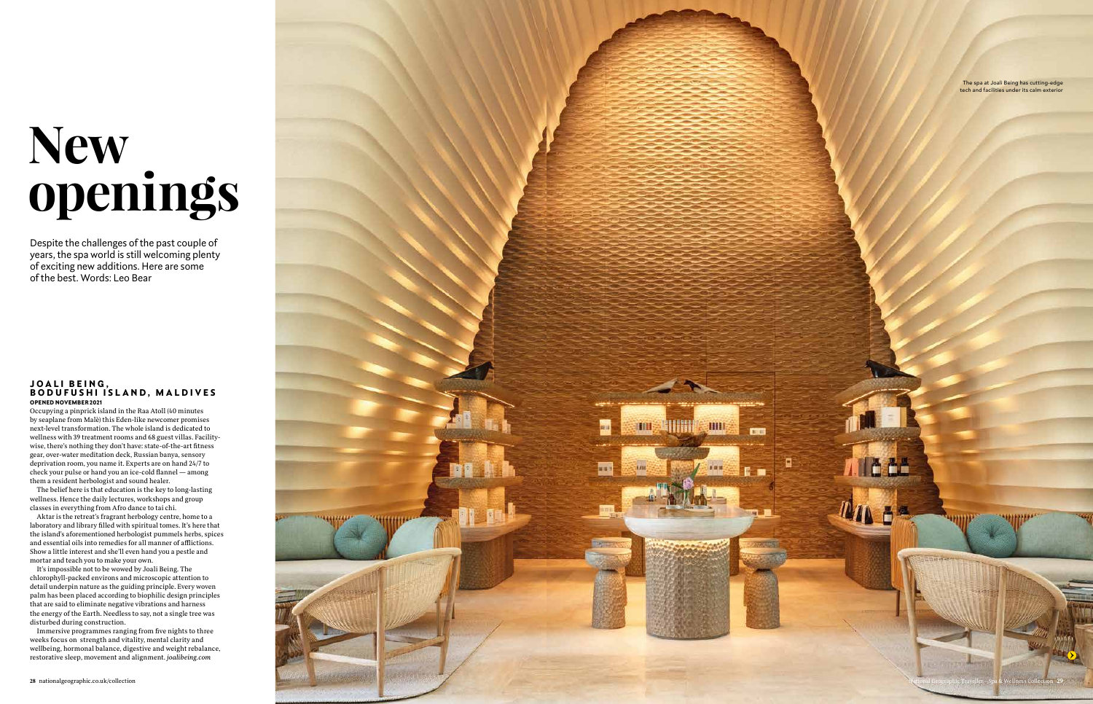# **New openings**

Despite the challenges of the past couple of years, the spa world is still welcoming plenty of exciting new additions. Here are some of the best. Words: Leo Bear

Occupying a pinprick island in the Raa Atoll (40 minutes by seaplane from Malè) this Eden-like newcomer promises next-level transformation. The whole island is dedicated to wellness with 39 treatment rooms and 68 guest villas. Facilitywise, there's nothing they don't have: state-of-the-art fitness gear, over-water meditation deck, Russian banya, sensory deprivation room, you name it. Experts are on hand 24/7 to check your pulse or hand you an ice-cold flannel — among them a resident herbologist and sound healer.

The belief here is that education is the key to long-lasting wellness. Hence the daily lectures, workshops and group classes in everything from Afro dance to tai chi.

### OPENED NOVEMBER 2021 JOALI BEING, BODUFUSHI ISLAND, MALDIVES

Aktar is the retreat's fragrant herbology centre, home to a laboratory and library filled with spiritual tomes. It's here that the island's aforementioned herbologist pummels herbs, spices and essential oils into remedies for all manner of afflictions. Show a little interest and she'll even hand you a pestle and mortar and teach you to make your own.

It's impossible not to be wowed by Joali Being. The chlorophyll-packed environs and microscopic attention to detail underpin nature as the guiding principle. Every woven palm has been placed according to biophilic design principles that are said to eliminate negative vibrations and harness the energy of the Earth. Needless to say, not a single tree was disturbed during construction.

Immersive programmes ranging from five nights to three weeks focus on strength and vitality, mental clarity and wellbeing, hormonal balance, digestive and weight rebalance, restorative sleep, movement and alignment. *joalibeing.com*



The spa at Joali Being has cutting-edge tech and facilities under its calm exterior

FF<sub>1</sub>

ö